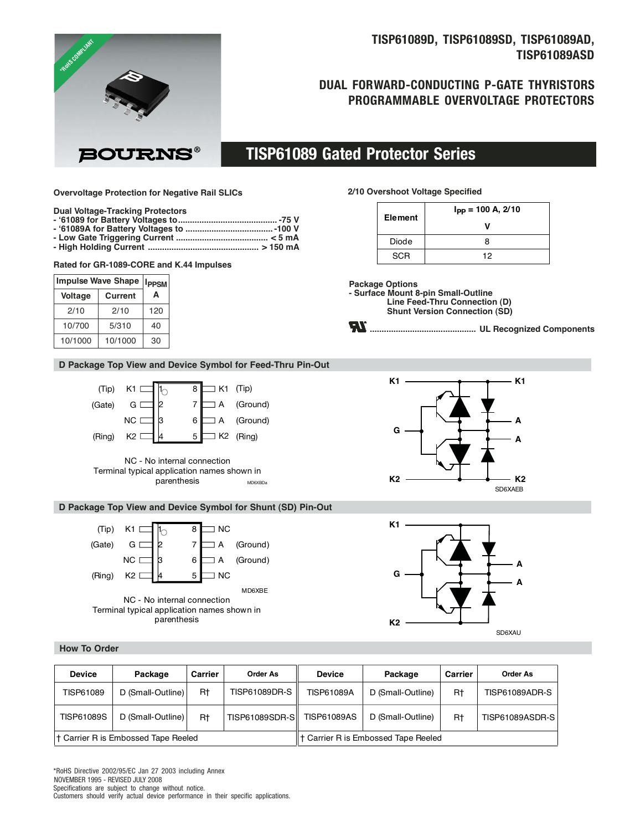# **TISP61089D, TISP61089SD, TISP61089AD, TISP61089ASD**

# **DUAL FORWARD-CONDUCTING P-GATE THYRISTORS PROGRAMMABLE OVERVOLTAGE PROTECTORS**

**BOURNS®** 

# **TISP61089 Gated Protector Series**

#### **Overvoltage Protection for Negative Rail SLICs**

#### **Dual Voltage-Tracking Protectors**

**FROHS COMPLIMAT** 

- **'61089 for Battery Voltages to.......................................... -75 V**
- **'61089A for Battery Voltages to ..................................... -100 V**
- **Low Gate Triggering Current ....................................... < 5 mA - High Holding Current ............................................... > 150 mA**

#### **Rated for GR-1089-CORE and K.44 Impulses**

| <b>Impulse Wave Shape</b> | <b>IPPSM</b> |     |
|---------------------------|--------------|-----|
| <b>Voltage</b>            | A            |     |
| 2/10                      | 2/10         | 120 |
| 10/700                    | 5/310        | 40  |
| 10/1000                   | 10/1000      | 30  |

## **D Package Top View and Device Symbol for Feed-Thru Pin-Out**





### **D Package Top View and Device Symbol for Shunt (SD) Pin-Out**



# **2/10 Overshoot Voltage Specified**

| <b>Element</b> | $I_{PP} = 100 A, 2/10$ |
|----------------|------------------------|
|                |                        |
| Diode          | я                      |
| <b>SCR</b>     | 12                     |

**Package Options - Surface Mount 8-pin Small-Outline Line Feed-Thru Connection (D) Shunt Version Connection (SD)**







### **How To Order**

| <b>Device</b>                       | Package           | Carrier | Order As         | <b>Device</b>                              | Package           | Carrier | Order As              |
|-------------------------------------|-------------------|---------|------------------|--------------------------------------------|-------------------|---------|-----------------------|
| TISP61089                           | D (Small-Outline) | R†      | TISP61089DR-S    | <b>TISP61089A</b>                          | D (Small-Outline) | Rt      | <b>TISP61089ADR-S</b> |
| <b>TISP61089S</b>                   | D (Small-Outline) | R†      | TISP61089SDR-SII | <b>TISP61089AS</b>                         | D (Small-Outline) | Rt      | TISP61089ASDR-S       |
| † Carrier R is Embossed Tape Reeled |                   |         |                  | <b>t</b> Carrier R is Embossed Tape Reeled |                   |         |                       |

NOVEMBER 1995 - REVISED JULY 2008 Specifications are subject to change without notice. Customers should verify actual device performance in their specific applications. \*RoHS Directive 2002/95/EC Jan 27 2003 including Annex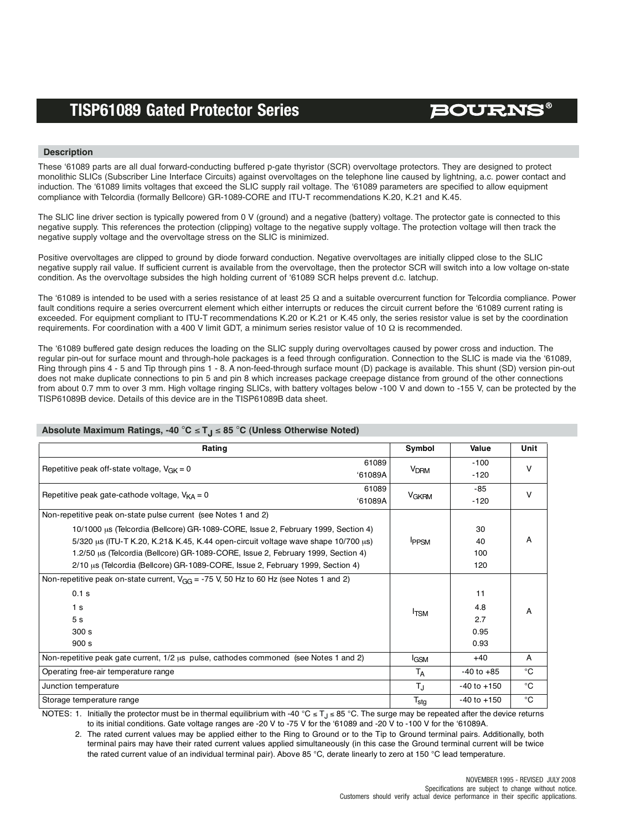# **BOURNS®**

## **Description**

These '61089 parts are all dual forward-conducting buffered p-gate thyristor (SCR) overvoltage protectors. They are designed to protect monolithic SLICs (Subscriber Line Interface Circuits) against overvoltages on the telephone line caused by lightning, a.c. power contact and induction. The '61089 limits voltages that exceed the SLIC supply rail voltage. The '61089 parameters are specified to allow equipment compliance with Telcordia (formally Bellcore) GR-1089-CORE and ITU-T recommendations K.20, K.21 and K.45.

The SLIC line driver section is typically powered from 0 V (ground) and a negative (battery) voltage. The protector gate is connected to this negative supply. This references the protection (clipping) voltage to the negative supply voltage. The protection voltage will then track the negative supply voltage and the overvoltage stress on the SLIC is minimized.

Positive overvoltages are clipped to ground by diode forward conduction. Negative overvoltages are initially clipped close to the SLIC negative supply rail value. If sufficient current is available from the overvoltage, then the protector SCR will switch into a low voltage on-state condition. As the overvoltage subsides the high holding current of '61089 SCR helps prevent d.c. latchup.

The '61089 is intended to be used with a series resistance of at least 25 Ω and a suitable overcurrent function for Telcordia compliance. Power fault conditions require a series overcurrent element which either interrupts or reduces the circuit current before the '61089 current rating is exceeded. For equipment compliant to ITU-T recommendations K.20 or K.21 or K.45 only, the series resistor value is set by the coordination requirements. For coordination with a 400 V limit GDT, a minimum series resistor value of 10 Ω is recommended.

The '61089 buffered gate design reduces the loading on the SLIC supply during overvoltages caused by power cross and induction. The regular pin-out for surface mount and through-hole packages is a feed through configuration. Connection to the SLIC is made via the '61089, Ring through pins 4 - 5 and Tip through pins 1 - 8. A non-feed-through surface mount (D) package is available. This shunt (SD) version pin-out does not make duplicate connections to pin 5 and pin 8 which increases package creepage distance from ground of the other connections from about 0.7 mm to over 3 mm. High voltage ringing SLICs, with battery voltages below -100 V and down to -155 V, can be protected by the TISP61089B device. Details of this device are in the TISP61089B data sheet.

### **Absolute Maximum Ratings, -40** °**C** ≤ **TJ** ≤ **85** °**C (Unless Otherwise Noted)**

| Rating                                                                                     | Symbol                  | Value            | Unit        |  |
|--------------------------------------------------------------------------------------------|-------------------------|------------------|-------------|--|
| 61089<br>Repetitive peak off-state voltage, $V_{CK} = 0$<br>'61089A                        | <b>V<sub>DRM</sub></b>  | $-100$<br>$-120$ | $\vee$      |  |
| 61089                                                                                      |                         | -85              |             |  |
| Repetitive peak gate-cathode voltage, $V_{KA} = 0$<br>'61089A                              | <b>V<sub>GKRM</sub></b> | $-120$           | v           |  |
| Non-repetitive peak on-state pulse current (see Notes 1 and 2)                             |                         |                  |             |  |
| 10/1000 μs (Telcordia (Bellcore) GR-1089-CORE, Issue 2, February 1999, Section 4)          |                         | 30               | А           |  |
| 5/320 us (ITU-T K.20, K.21& K.45, K.44 open-circuit voltage wave shape 10/700 us)          | <b>IPPSM</b>            | 40               |             |  |
| 1.2/50 us (Telcordia (Bellcore) GR-1089-CORE, Issue 2, February 1999, Section 4)           |                         | 100              |             |  |
| 2/10 µs (Telcordia (Bellcore) GR-1089-CORE, Issue 2, February 1999, Section 4)             |                         | 120              |             |  |
| Non-repetitive peak on-state current, $V_{GG}$ = -75 V, 50 Hz to 60 Hz (see Notes 1 and 2) |                         |                  | А           |  |
| 0.1 s                                                                                      |                         | 11               |             |  |
| 1 <sub>s</sub>                                                                             | <sup>I</sup> TSM        | 4.8              |             |  |
| 5 <sub>s</sub>                                                                             |                         | 2.7              |             |  |
| 300 s                                                                                      |                         | 0.95             |             |  |
| 900 s                                                                                      |                         | 0.93             |             |  |
| Non-repetitive peak gate current, 1/2 us pulse, cathodes commoned (see Notes 1 and 2)      | <b>I</b> GSM            | $+40$            | A           |  |
| Operating free-air temperature range                                                       | T <sub>A</sub>          | $-40$ to $+85$   | °C          |  |
| Junction temperature                                                                       | $T_{\rm J}$             | $-40$ to $+150$  | °C          |  |
| Storage temperature range                                                                  | $T_{\text{stg}}$        | $-40$ to $+150$  | $^{\circ}C$ |  |

NOTES: 1. Initially the protector must be in thermal equilibrium with -40 °C ≤ T<sub>J</sub> ≤ 85 °C. The surge may be repeated after the device returns to its initial conditions. Gate voltage ranges are -20 V to -75 V for the '61089 and -20 V to -100 V for the '61089A.

2. The rated current values may be applied either to the Ring to Ground or to the Tip to Ground terminal pairs. Additionally, both terminal pairs may have their rated current values applied simultaneously (in this case the Ground terminal current will be twice the rated current value of an individual terminal pair). Above 85 °C, derate linearly to zero at 150 °C lead temperature.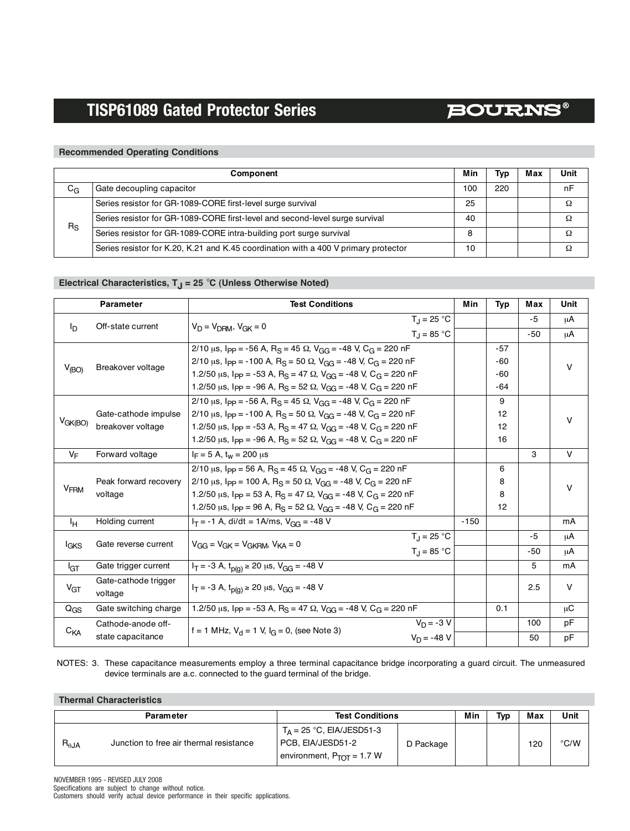# **BOURNS®**

## **Recommended Operating Conditions**

|             | Component                                                                           |     |     |  | Unit |
|-------------|-------------------------------------------------------------------------------------|-----|-----|--|------|
| $C_G$       | Gate decoupling capacitor                                                           | 100 | 220 |  | nF   |
|             | Series resistor for GR-1089-CORE first-level surge survival                         | 25  |     |  | Ω    |
| $R_{\rm S}$ | Series resistor for GR-1089-CORE first-level and second-level surge survival        | 40  |     |  |      |
|             | Series resistor for GR-1089-CORE intra-building port surge survival                 | 8   |     |  |      |
|             | Series resistor for K.20, K.21 and K.45 coordination with a 400 V primary protector | 10  |     |  |      |

## Electrical Characteristics, T<sub>J</sub> = 25 °C (Unless Otherwise Noted)

|                                     | <b>Parameter</b>                                                                                          | <b>Test Conditions</b>                                                                                                  | Min    | <b>Typ</b> | Max   | Unit         |  |
|-------------------------------------|-----------------------------------------------------------------------------------------------------------|-------------------------------------------------------------------------------------------------------------------------|--------|------------|-------|--------------|--|
| $I_{\rm D}$                         | Off-state current                                                                                         | $T_1 = 25 °C$<br>$V_D = V_{DBM}$ , $V_{GK} = 0$                                                                         |        |            | $-5$  | μA           |  |
|                                     |                                                                                                           | $T_1 = 85 °C$                                                                                                           |        |            | $-50$ | μA           |  |
|                                     |                                                                                                           | 2/10 $\mu$ s, $I_{PP}$ = -56 A, R <sub>S</sub> = 45 $\Omega$ , V <sub>GG</sub> = -48 V, C <sub>G</sub> = 220 nF         |        | -57        |       |              |  |
| $V_{(BO)}$                          | Breakover voltage                                                                                         | 2/10 $\mu$ s, Ipp = -100 A, R <sub>S</sub> = 50 $\Omega$ , V <sub>GG</sub> = -48 V, C <sub>G</sub> = 220 nF             |        | -60        |       | v            |  |
|                                     |                                                                                                           | 1.2/50 us, $I_{PP}$ = -53 A, R <sub>S</sub> = 47 $\Omega$ , V <sub>GG</sub> = -48 V, C <sub>G</sub> = 220 nF            |        | -60        |       |              |  |
|                                     |                                                                                                           | 1.2/50 µs, $I_{PP}$ = -96 A, R <sub>S</sub> = 52 $\Omega$ , V <sub>GG</sub> = -48 V, C <sub>G</sub> = 220 nF            |        | -64        |       |              |  |
|                                     |                                                                                                           | 2/10 $\mu$ s, $I_{PP}$ = -56 A, R <sub>S</sub> = 45 $\Omega$ , V <sub>GG</sub> = -48 V, C <sub>G</sub> = 220 nF         |        | 9          |       |              |  |
|                                     | Gate-cathode impulse                                                                                      | 2/10 $\mu$ s, I <sub>PP</sub> = -100 A, R <sub>S</sub> = 50 $\Omega$ , V <sub>GG</sub> = -48 V, C <sub>G</sub> = 220 nF |        | 12         |       | v            |  |
| $V_{GK(BO)}$                        | breakover voltage                                                                                         | 1.2/50 $\mu$ s, $I_{PP}$ = -53 A, R <sub>S</sub> = 47 $\Omega$ , V <sub>GG</sub> = -48 V, C <sub>G</sub> = 220 nF       |        | 12         |       |              |  |
|                                     |                                                                                                           | 1.2/50 $\mu$ s, $I_{PP}$ = -96 A, R <sub>S</sub> = 52 $\Omega$ , V <sub>GG</sub> = -48 V, C <sub>G</sub> = 220 nF       |        | 16         |       |              |  |
| VF                                  | Forward voltage                                                                                           | $I_F = 5$ A, $t_w = 200$ $\mu s$                                                                                        |        |            | 3     | $\vee$       |  |
|                                     | 2/10 $\mu$ s, Ipp = 56 A, R <sub>S</sub> = 45 $\Omega$ , V <sub>GG</sub> = -48 V, C <sub>G</sub> = 220 nF |                                                                                                                         | 6      |            |       |              |  |
|                                     | Peak forward recovery                                                                                     | 2/10 $\mu$ s, Ipp = 100 A, R <sub>S</sub> = 50 $\Omega$ , V <sub>GG</sub> = -48 V, C <sub>G</sub> = 220 nF              |        | 8          |       | v            |  |
| V <sub>FRM</sub>                    | voltage                                                                                                   | 1.2/50 $\mu$ s, I <sub>PP</sub> = 53 A, R <sub>S</sub> = 47 $\Omega$ , V <sub>GG</sub> = -48 V, C <sub>G</sub> = 220 nF |        | 8          |       |              |  |
|                                     |                                                                                                           | 1.2/50 $\mu$ s, $I_{PP}$ = 96 A, R <sub>S</sub> = 52 $\Omega$ , V <sub>GG</sub> = -48 V, C <sub>G</sub> = 220 nF        |        | 12         |       |              |  |
| ŀн                                  | Holding current                                                                                           | $I_T = -1$ A, di/dt = 1A/ms, $V_{GG} = -48$ V                                                                           | $-150$ |            |       | mA           |  |
|                                     |                                                                                                           | $T_{\rm d}$ = 25 °C                                                                                                     |        |            | $-5$  | μA           |  |
| Gate reverse current<br><b>IGKS</b> |                                                                                                           | $V_{GG} = V_{GK} = V_{GKRM}$ , $V_{KA} = 0$<br>$T_{\rm J} = 85 \,^{\circ}\text{C}$                                      |        |            | $-50$ | μA           |  |
| I <sub>GT</sub>                     | Gate trigger current                                                                                      | $I_T = -3$ A, $t_{p(q)} \ge 20$ µs, $V_{GG} = -48$ V                                                                    |        |            | 5     | mA           |  |
| $V_{GT}$                            | Gate-cathode trigger                                                                                      | $I_T = -3$ A, $t_{n(r)} \ge 20$ µs, $V_{GG} = -48$ V                                                                    |        |            | 2.5   | $\mathsf{V}$ |  |
|                                     | voltage                                                                                                   |                                                                                                                         |        |            |       |              |  |
| $Q_{GS}$                            | Gate switching charge                                                                                     | 1.2/50 µs, $I_{PP}$ = -53 A, R <sub>S</sub> = 47 $\Omega$ , V <sub>GG</sub> = -48 V, C <sub>G</sub> = 220 nF            |        | 0.1        |       | μC           |  |
| $C_{\mathsf{KA}}$                   | Cathode-anode off-                                                                                        | $V_D = -3 V$<br>f = 1 MHz, $V_d$ = 1 V, $I_G$ = 0, (see Note 3)                                                         |        |            | 100   | рF           |  |
|                                     | state capacitance                                                                                         | $V_D = -48 V$                                                                                                           |        |            | 50    | pF           |  |

NOTES: 3. These capacitance measurements employ a three terminal capacitance bridge incorporating a guard circuit. The unmeasured device terminals are a.c. connected to the guard terminal of the bridge.

## **Thermal Characteristics**

| <b>Parameter</b> |                                         | <b>Test Conditions</b>                                                                    |           | Min | Typ | Max | Unit          |
|------------------|-----------------------------------------|-------------------------------------------------------------------------------------------|-----------|-----|-----|-----|---------------|
| $R_{\theta JA}$  | Junction to free air thermal resistance | $T_A = 25$ °C, EIA/JESD51-3<br>PCB, EIA/JESD51-2<br>environment, $P_{\text{TOT}} = 1.7 W$ | D Package |     |     | 120 | $\degree$ C/W |

NOVEMBER 1995 - REVISED JULY 2008 Specifications are subject to change without notice. Customers should verify actual device performance in their specific applications.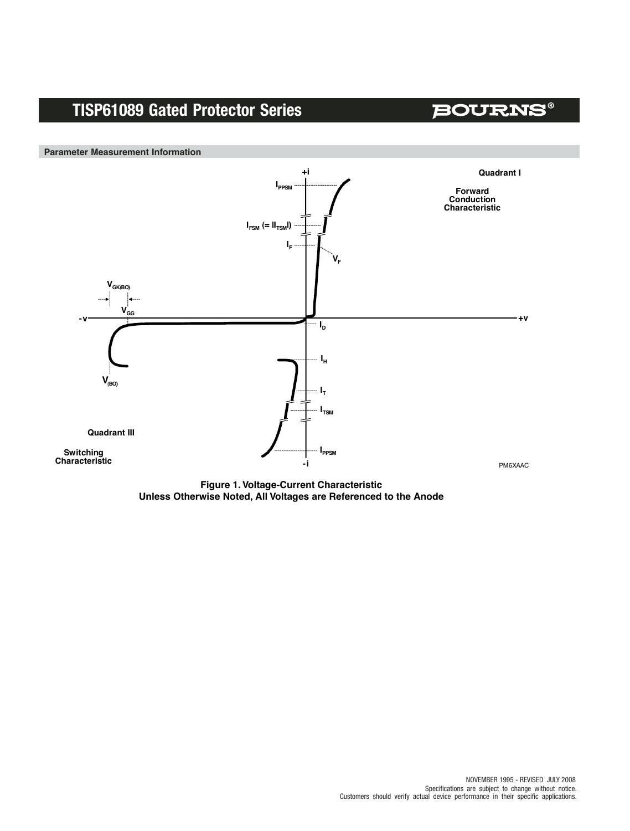**BOURNS®** 



**Figure 1. Voltage-Current Characteristic Unless Otherwise Noted, All Voltages are Referenced to the Anode**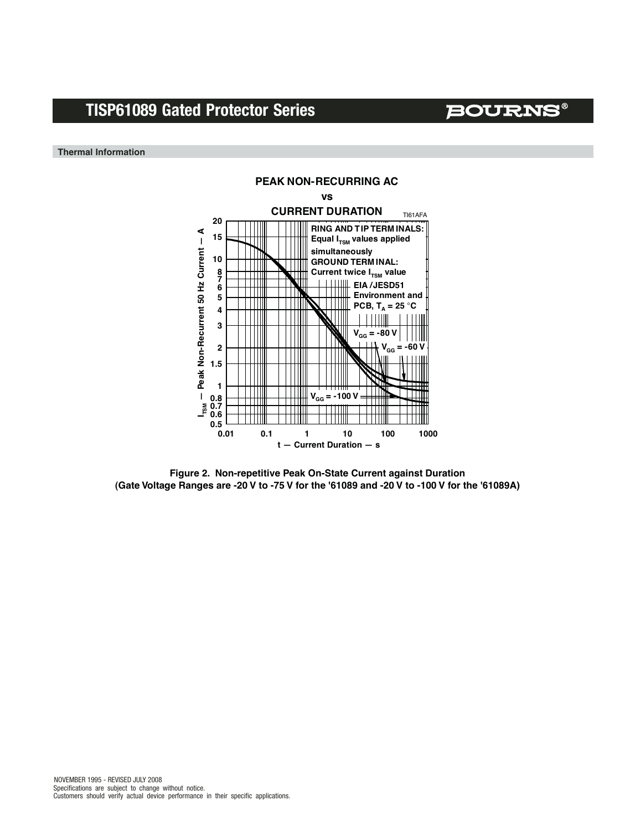**BOURNS®** 

**Thermal Information**



**Figure 2. Non-repetitive Peak On-State Current against Duration (Gate Voltage Ranges are -20 V to -75 V for the '61089 and -20 V to -100 V for the '61089A)**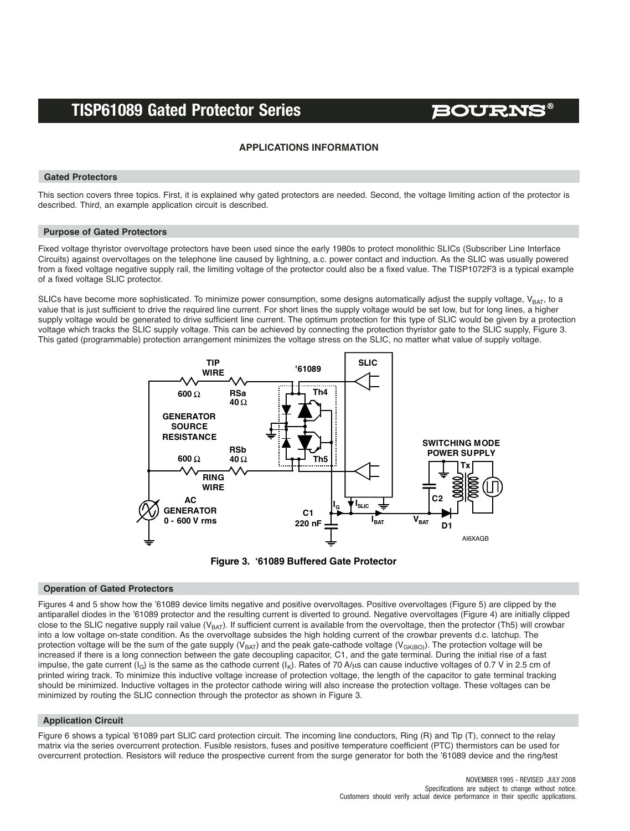# **BOURNS®**

## **APPLICATIONS INFORMATION**

### **Gated Protectors**

This section covers three topics. First, it is explained why gated protectors are needed. Second, the voltage limiting action of the protector is described. Third, an example application circuit is described.

### **Purpose of Gated Protectors**

Fixed voltage thyristor overvoltage protectors have been used since the early 1980s to protect monolithic SLICs (Subscriber Line Interface Circuits) against overvoltages on the telephone line caused by lightning, a.c. power contact and induction. As the SLIC was usually powered from a fixed voltage negative supply rail, the limiting voltage of the protector could also be a fixed value. The TISP1072F3 is a typical example of a fixed voltage SLIC protector.

SLICs have become more sophisticated. To minimize power consumption, some designs automatically adjust the supply voltage, V<sub>BAT</sub>, to a value that is just sufficient to drive the required line current. For short lines the supply voltage would be set low, but for long lines, a higher supply voltage would be generated to drive sufficient line current. The optimum protection for this type of SLIC would be given by a protection voltage which tracks the SLIC supply voltage. This can be achieved by connecting the protection thyristor gate to the SLIC supply, Figure 3. This gated (programmable) protection arrangement minimizes the voltage stress on the SLIC, no matter what value of supply voltage.





### **Operation of Gated Protectors**

Figures 4 and 5 show how the '61089 device limits negative and positive overvoltages. Positive overvoltages (Figure 5) are clipped by the antiparallel diodes in the '61089 protector and the resulting current is diverted to ground. Negative overvoltages (Figure 4) are initially clipped close to the SLIC negative supply rail value ( $V_{BAT}$ ). If sufficient current is available from the overvoltage, then the protector (Th5) will crowbar into a low voltage on-state condition. As the overvoltage subsides the high holding current of the crowbar prevents d.c. latchup. The protection voltage will be the sum of the gate supply ( $V_{BAT}$ ) and the peak gate-cathode voltage ( $V_{GKBO}$ ). The protection voltage will be increased if there is a long connection between the gate decoupling capacitor, C1, and the gate terminal. During the initial rise of a fast impulse, the gate current  $(I_G)$  is the same as the cathode current  $(I_K)$ . Rates of 70 A/us can cause inductive voltages of 0.7 V in 2.5 cm of printed wiring track. To minimize this inductive voltage increase of protection voltage, the length of the capacitor to gate terminal tracking should be minimized. Inductive voltages in the protector cathode wiring will also increase the protection voltage. These voltages can be minimized by routing the SLIC connection through the protector as shown in Figure 3.

### **Application Circuit**

Figure 6 shows a typical '61089 part SLIC card protection circuit. The incoming line conductors, Ring (R) and Tip (T), connect to the relay matrix via the series overcurrent protection. Fusible resistors, fuses and positive temperature coefficient (PTC) thermistors can be used for overcurrent protection. Resistors will reduce the prospective current from the surge generator for both the '61089 device and the ring/test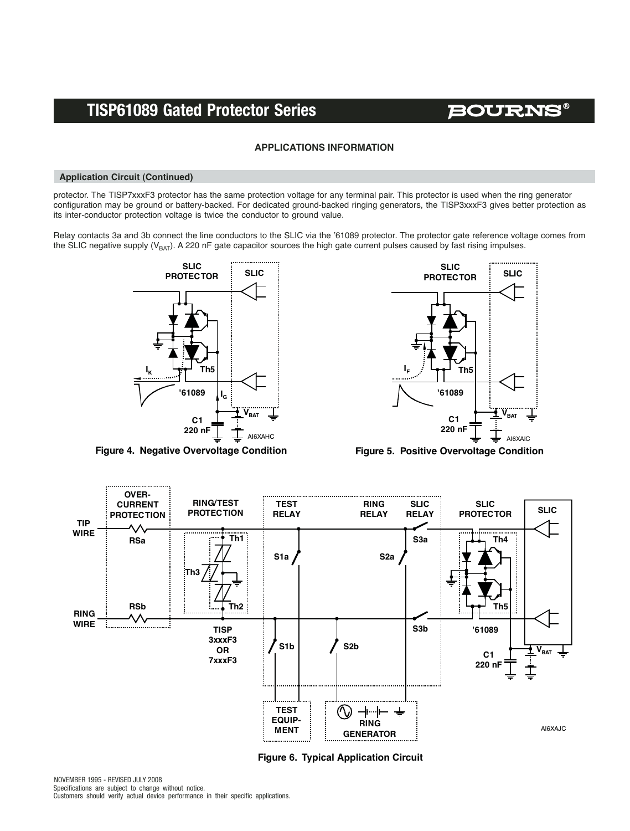**BOURNS®** 

## **APPLICATIONS INFORMATION**

### **Application Circuit (Continued)**

protector. The TISP7xxxF3 protector has the same protection voltage for any terminal pair. This protector is used when the ring generator configuration may be ground or battery-backed. For dedicated ground-backed ringing generators, the TISP3xxxF3 gives better protection as its inter-conductor protection voltage is twice the conductor to ground value.

Relay contacts 3a and 3b connect the line conductors to the SLIC via the '61089 protector. The protector gate reference voltage comes from the SLIC negative supply ( $V_{BAT}$ ). A 220 nF gate capacitor sources the high gate current pulses caused by fast rising impulses.



**Figure 4. Negative Overvoltage Condition**



**Figure 5. Positive Overvoltage Condition**



**Figure 6. Typical Application Circuit**